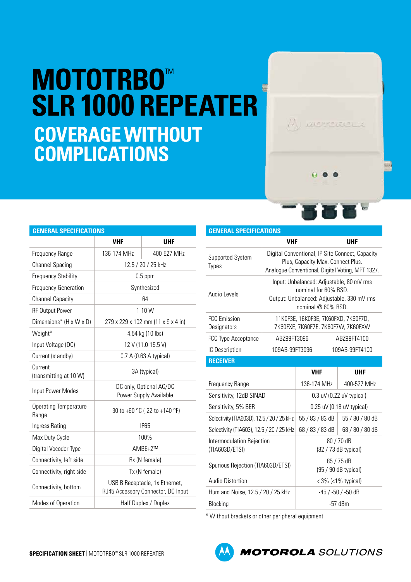## **MOTOTRBO**™ **SLR 1000 REPEATER COVERAGE WITHOUT COMPLICATIONS**

| <b>GENERAL SPECIFICATIONS</b>         |                                                                      |             |  |  |
|---------------------------------------|----------------------------------------------------------------------|-------------|--|--|
|                                       | <b>VHF</b>                                                           | <b>UHF</b>  |  |  |
| Frequency Range                       | 136-174 MHz                                                          | 400-527 MHz |  |  |
| <b>Channel Spacing</b>                | 12.5 / 20 / 25 kHz                                                   |             |  |  |
| <b>Frequency Stability</b>            | $0.5$ ppm                                                            |             |  |  |
| <b>Frequency Generation</b>           | Synthesized                                                          |             |  |  |
| <b>Channel Capacity</b>               | 64                                                                   |             |  |  |
| <b>RF Output Power</b>                | $1-10$ W                                                             |             |  |  |
| Dimensions* (H x W x D)               | 279 x 229 x 102 mm (11 x 9 x 4 in)                                   |             |  |  |
| Weight*                               | 4.54 kg (10 lbs)                                                     |             |  |  |
| Input Voltage (DC)                    | 12 V (11.0-15.5 V)                                                   |             |  |  |
| Current (standby)                     | 0.7 A (0.63 A typical)                                               |             |  |  |
| Current<br>(transmitting at 10 W)     | 3A (typical)                                                         |             |  |  |
| Input Power Modes                     | DC only, Optional AC/DC<br>Power Supply Available                    |             |  |  |
| <b>Operating Temperature</b><br>Range | -30 to +60 °C (-22 to +140 °F)                                       |             |  |  |
| Ingress Rating                        | <b>IP65</b>                                                          |             |  |  |
| Max Duty Cycle                        | 100%                                                                 |             |  |  |
| Digital Vocoder Type                  | AMBE+2™                                                              |             |  |  |
| Connectivity, left side               | Rx (N female)                                                        |             |  |  |
| Connectivity, right side              | Tx (N female)                                                        |             |  |  |
| Connectivity, bottom                  | USB B Receptacle, 1x Ethernet,<br>RJ45 Accessory Connector, DC Input |             |  |  |
| Modes of Operation                    | Half Duplex / Duplex                                                 |             |  |  |

## **GENERAL SPECIFICATIONS**

|                                             | <b>VHF</b>                                                                                                                               |                                      | <b>UHF</b>     |                 |
|---------------------------------------------|------------------------------------------------------------------------------------------------------------------------------------------|--------------------------------------|----------------|-----------------|
| Supported System<br><b>Types</b>            | Digital Conventional, IP Site Connect, Capacity<br>Plus, Capacity Max, Connect Plus.<br>Analogue Conventional, Digital Voting, MPT 1327. |                                      |                |                 |
| Audio Levels                                | Input: Unbalanced: Adjustable, 80 mV rms<br>nominal for 60% RSD.<br>Output: Unbalanced: Adjustable, 330 mV rms<br>nominal @ 60% RSD.     |                                      |                |                 |
| <b>FCC</b> Emission<br>Designators          | 11K0F3E, 16K0F3E, 7K60FXD, 7K60F7D,<br>7K60FXE, 7K60F7E, 7K60F7W, 7K60FXW                                                                |                                      |                |                 |
| FCC Type Acceptance                         | ABZ99FT3096                                                                                                                              |                                      | ABZ99FT4100    |                 |
| IC Description                              | 109AB-99FT3096                                                                                                                           |                                      | 109AB-99FT4100 |                 |
| <b>RECEIVER</b>                             |                                                                                                                                          |                                      |                |                 |
|                                             |                                                                                                                                          | <b>VHF</b>                           |                | <b>UHF</b>      |
| Frequency Range                             |                                                                                                                                          | 136-174 MHz                          |                | 400-527 MHz     |
| Sensitivity, 12dB SINAD                     |                                                                                                                                          | 0.3 uV (0.22 uV typical)             |                |                 |
| Sensitivity, 5% BER                         |                                                                                                                                          | $0.25$ uV (0.18 uV typical)          |                |                 |
| Selectivity (TIA603D), 12.5 / 20 / 25 kHz   |                                                                                                                                          | 55 / 83 / 83 dB                      |                | 55 / 80 / 80 dB |
| Selectivity (TIA603), 12.5 / 20 / 25 kHz    |                                                                                                                                          | 68 / 83 / 83 dB                      |                | 68 / 80 / 80 dB |
| Intermodulation Rejection<br>(TIA603D/ETSI) |                                                                                                                                          | 80 / 70 dB<br>(82 / 73 dB typical)   |                |                 |
| Spurious Rejection (TIA603D/ETSI)           |                                                                                                                                          | 85 / 75 dB<br>$(95 / 90$ dB typical) |                |                 |
| <b>Audio Distortion</b>                     |                                                                                                                                          | $<$ 3% ( $<$ 1% typical)             |                |                 |
| Hum and Noise, 12.5 / 20 / 25 kHz           |                                                                                                                                          | -45 / -50 / -50 dB                   |                |                 |
| Blocking                                    |                                                                                                                                          | $-57$ dBm                            |                |                 |

\* Without brackets or other peripheral equipment